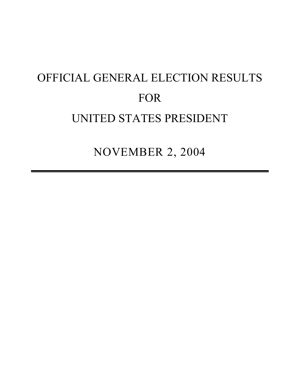# OFFICIAL GENERAL ELECTION RESULTS FOR UNITED STATES PRESIDENT

NOVEMBER 2, 2004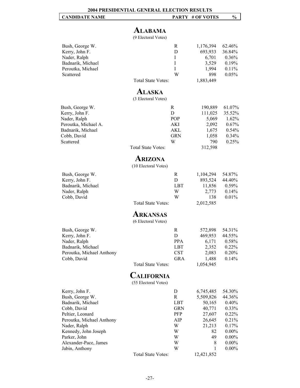# **ALABAMA**

(9 Electoral Votes)

| Bush, George W.<br>Kerry, John F.<br>Nader, Ralph<br>Badnarik, Michael<br>Peroutka, Michael<br>Scattered                                                                                                                  | <b>Total State Votes:</b>                        | R<br>D<br>$\mathbf I$<br>I<br>I<br>W                               | 1,176,394<br>693,933<br>6,701<br>3,529<br>1,994<br>898<br>1,883,449                            | 62.46%<br>36.84%<br>0.36%<br>0.19%<br>0.11%<br>0.05%                                                          |
|---------------------------------------------------------------------------------------------------------------------------------------------------------------------------------------------------------------------------|--------------------------------------------------|--------------------------------------------------------------------|------------------------------------------------------------------------------------------------|---------------------------------------------------------------------------------------------------------------|
|                                                                                                                                                                                                                           | ALASKA                                           |                                                                    |                                                                                                |                                                                                                               |
| Bush, George W.<br>Kerry, John F.<br>Nader, Ralph<br>Peroutka, Michael A.<br>Badnarik, Michael<br>Cobb, David<br>Scattered                                                                                                | (3 Electoral Votes)<br><b>Total State Votes:</b> | R<br>D<br>POP<br>AKI<br>AKL<br><b>GRN</b><br>W                     | 190,889<br>111,025<br>5,069<br>2,092<br>1,675<br>1,058<br>790<br>312,598                       | 61.07%<br>35.52%<br>1.62%<br>0.67%<br>0.54%<br>0.34%<br>0.25%                                                 |
|                                                                                                                                                                                                                           | ARIZONA                                          |                                                                    |                                                                                                |                                                                                                               |
|                                                                                                                                                                                                                           | (10 Electoral Votes)                             |                                                                    |                                                                                                |                                                                                                               |
| Bush, George W.<br>Kerry, John F.<br>Badnarik, Michael<br>Nader, Ralph<br>Cobb, David                                                                                                                                     | <b>Total State Votes:</b>                        | R<br>D<br><b>LBT</b><br>W<br>W                                     | 1,104,294<br>893,524<br>11,856<br>2,773<br>138<br>2,012,585                                    | 54.87%<br>44.40%<br>0.59%<br>0.14%<br>0.01%                                                                   |
|                                                                                                                                                                                                                           | <b>ARKANSAS</b><br>(6 Electoral Votes)           |                                                                    |                                                                                                |                                                                                                               |
| Bush, George W.<br>Kerry, John F.<br>Nader, Ralph<br>Badnarik, Michael<br>Peroutka, Michael Anthony<br>Cobb, David                                                                                                        | <b>Total State Votes:</b>                        | R<br>D<br>PPA<br><b>LBT</b><br><b>CST</b><br>GRA                   | 572,898<br>469,953<br>6,171<br>2,352<br>2,083<br>1,488<br>1,054,945                            | 54.31%<br>44.55%<br>0.58%<br>0.22%<br>0.20%<br>0.14%                                                          |
|                                                                                                                                                                                                                           | <b>CALIFORNIA</b><br>(55 Electoral Votes)        |                                                                    |                                                                                                |                                                                                                               |
| Kerry, John F.<br>Bush, George W.<br>Badnarik, Michael<br>Cobb, David<br>Peltier, Leonard<br>Peroutka, Michael Anthony<br>Nader, Ralph<br>Kennedy, John Joseph<br>Parker, John<br>Alexander-Pace, James<br>Jabin, Anthony |                                                  | D<br>R<br>LBT<br><b>GRN</b><br>PFP<br>AIP<br>W<br>W<br>W<br>W<br>W | 6,745,485<br>5,509,826<br>50,165<br>40,771<br>27,607<br>26,645<br>21,213<br>82<br>49<br>8<br>1 | 54.30%<br>44.36%<br>0.40%<br>0.33%<br>0.22%<br>0.21%<br>0.17%<br>$0.00\%$<br>$0.00\%$<br>$0.00\%$<br>$0.00\%$ |
|                                                                                                                                                                                                                           | <b>Total State Votes:</b>                        |                                                                    | 12,421,852                                                                                     |                                                                                                               |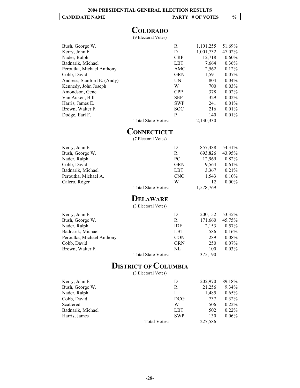# **COLORADO**

(9 Electoral Votes)

| Bush, George W.             |                    | R          | 1,101,255 | 51.69%   |
|-----------------------------|--------------------|------------|-----------|----------|
| Kerry, John F.              |                    | D          | 1,001,732 | 47.02%   |
| Nader, Ralph                |                    | <b>CRP</b> | 12,718    | $0.60\%$ |
| Badnarik, Michael           |                    | LBT        | 7,664     | $0.36\%$ |
| Peroutka, Michael Anthony   |                    | AMC        | 2,562     | $0.12\%$ |
| Cobb, David                 |                    | <b>GRN</b> | 1,591     | $0.07\%$ |
| Andress, Stanford E. (Andy) |                    | UN         | 804       | $0.04\%$ |
| Kennedy, John Joseph        |                    | W          | 700       | $0.03\%$ |
| Amondson, Gene              |                    | <b>CPP</b> | 378       | $0.02\%$ |
| Van Auken, Bill             |                    | <b>SEP</b> | 329       | $0.02\%$ |
| Harris, James E.            |                    | <b>SWP</b> | 241       | $0.01\%$ |
| Brown, Walter F.            |                    | <b>SOC</b> | 216       | $0.01\%$ |
| Dodge, Earl F.              |                    | P          | 140       | $0.01\%$ |
|                             | Total State Votes: |            | 2,130,330 |          |

#### **CONNECTICUT**

(7 Electoral Votes)

| Kerry, John F.       |                                                                            | D          | 857,488  | 54.31%   |
|----------------------|----------------------------------------------------------------------------|------------|----------|----------|
| Bush, George W.      |                                                                            | R          | 693,826  | 43.95%   |
| Nader, Ralph         |                                                                            | PC.        | 12.969   | 0.82%    |
| Cobb, David          |                                                                            | <b>GRN</b> | 9.564    | 0.61%    |
| Badnarik, Michael    |                                                                            | LBT        | 3,367    | 0.21%    |
| Peroutka, Michael A. |                                                                            | <b>CNC</b> | 1.543    | $0.10\%$ |
| Calero, Róger        |                                                                            | W          | 12       | $0.00\%$ |
|                      | $T$ $\rightarrow$ $1$ $\alpha$ $\rightarrow$ $\alpha$ $\tau$ $\rightarrow$ |            | 1.570.76 |          |

Total State Votes: 1,578,769

# **DELAWARE**

(3 Electoral Votes)

| Kerry, John F.            |                    | D          | 200,152 | 53.35%   |
|---------------------------|--------------------|------------|---------|----------|
| Bush, George W.           |                    | R          | 171,660 | 45.75%   |
| Nader, Ralph              |                    | <b>IDE</b> | 2,153   | $0.57\%$ |
| Badnarik, Michael         |                    | LBT        | 586     | $0.16\%$ |
| Peroutka, Michael Anthony |                    | <b>CON</b> | 289     | $0.08\%$ |
| Cobb, David               |                    | <b>GRN</b> | 250     | $0.07\%$ |
| Brown, Walter F.          |                    | NL         | 100     | $0.03\%$ |
|                           | Total State Votes: |            | 375,190 |          |

# **DISTRICT OF COLUMBIA**

(3 Electoral Votes)

| Kerry, John F.    | D            | 202,970 | 89.18%   |
|-------------------|--------------|---------|----------|
| Bush, George W.   | R            | 21,256  | 9.34%    |
| Nader, Ralph      |              | 1,485   | $0.65\%$ |
| Cobb, David       | DCG          | 737     | $0.32\%$ |
| Scattered         | W            | 506     | $0.22\%$ |
| Badnarik, Michael | LBT          | 502     | $0.22\%$ |
| Harris, James     | <b>SWP</b>   | 130     | $0.06\%$ |
|                   | Total Votes: | 227,586 |          |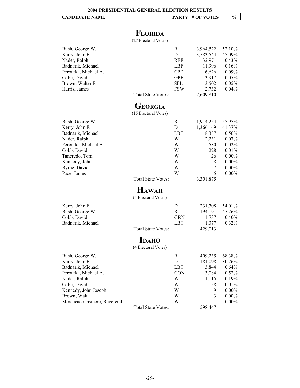# **FLORIDA**

(27 Electoral Votes)

| Bush, George W.<br>Kerry, John F.<br>Nader, Ralph<br>Badnarik, Michael<br>Peroutka, Michael A.<br>Cobb, David<br>Brown, Walter F.<br>Harris, James                                 | <b>Total State Votes:</b>                 | R<br>D<br><b>REF</b><br>LBF<br><b>CPF</b><br><b>GPF</b><br><b>SFL</b><br><b>FSW</b> | 3,964,522<br>3,583,544<br>32,971<br>11,996<br>6,626<br>3,917<br>3,502<br>2,732<br>7,609,810 | 52.10%<br>47.09%<br>0.43%<br>0.16%<br>0.09%<br>0.05%<br>0.05%<br>0.04%                               |
|------------------------------------------------------------------------------------------------------------------------------------------------------------------------------------|-------------------------------------------|-------------------------------------------------------------------------------------|---------------------------------------------------------------------------------------------|------------------------------------------------------------------------------------------------------|
|                                                                                                                                                                                    | <b>GEORGIA</b><br>(15 Electoral Votes)    |                                                                                     |                                                                                             |                                                                                                      |
| Bush, George W.<br>Kerry, John F.<br>Badnarik, Michael<br>Nader, Ralph<br>Peroutka, Michael A.<br>Cobb, David<br>Tancredo, Tom<br>Kennedy, John J.<br>Byrne, David<br>Pace, James  | Total State Votes:                        | R<br>D<br><b>LBT</b><br>W<br>W<br>W<br>W<br>W<br>W<br>W                             | 1,914,254<br>1,366,149<br>18,387<br>2,231<br>580<br>228<br>26<br>8<br>7<br>5<br>3,301,875   | 57.97%<br>41.37%<br>0.56%<br>0.07%<br>0.02%<br>0.01%<br>$0.00\%$<br>$0.00\%$<br>$0.00\%$<br>$0.00\%$ |
|                                                                                                                                                                                    | <b>HAWAII</b><br>(4 Electoral Votes)      |                                                                                     |                                                                                             |                                                                                                      |
| Kerry, John F.<br>Bush, George W.<br>Cobb, David<br>Badnarik, Michael                                                                                                              | Total State Votes:<br><b>IDAHO</b>        | D<br>$\mathbb{R}$<br><b>GRN</b><br><b>LBT</b>                                       | 231,708<br>194,191<br>1,737<br>1,377<br>429,013                                             | 54.01%<br>45.26%<br>0.40%<br>0.32%                                                                   |
| Bush, George W.<br>Kerry, John F.<br>Badnarik, Michael<br>Peroutka, Michael A.<br>Nader, Ralph<br>Cobb, David<br>Kennedy, John Joseph<br>Brown, Walt<br>Merepeace-msmere, Reverend | (4 Electoral Votes)<br>Total State Votes: | $\mathbf R$<br>D<br><b>LBT</b><br><b>CON</b><br>W<br>W<br>W<br>W<br>W               | 409,235<br>181,098<br>3,844<br>3,084<br>1,115<br>58<br>9<br>3<br>1<br>598,447               | 68.38%<br>30.26%<br>0.64%<br>0.52%<br>0.19%<br>0.01%<br>$0.00\%$<br>$0.00\%$<br>$0.00\%$             |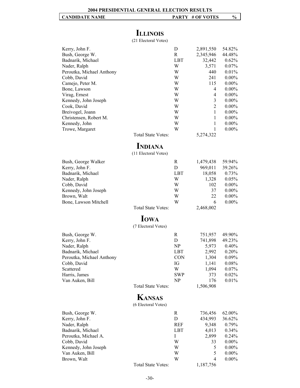# **ILLINOIS**

(21 Electoral Votes)

| <b>Total State Votes:</b>              | D<br>R<br><b>LBT</b><br>W<br>W<br>W<br>W<br>W<br>W<br>W<br>W<br>W<br>W<br>W<br>W | 2,891,550<br>2,345,946<br>32,442<br>3,571<br>440<br>241<br>115<br>$\overline{4}$<br>4<br>3<br>$\overline{c}$<br>$\mathbf{1}$<br>1<br>1<br>1<br>5,274,322 | 54.82%<br>44.48%<br>0.62%<br>0.07%<br>0.01%<br>$0.00\%$<br>$0.00\%$<br>$0.00\%$<br>$0.00\%$<br>$0.00\%$<br>$0.00\%$<br>$0.00\%$<br>$0.00\%$<br>$0.00\%$<br>$0.00\%$ |
|----------------------------------------|----------------------------------------------------------------------------------|----------------------------------------------------------------------------------------------------------------------------------------------------------|---------------------------------------------------------------------------------------------------------------------------------------------------------------------|
| <b>INDIANA</b><br>(11 Electoral Votes) |                                                                                  |                                                                                                                                                          |                                                                                                                                                                     |
| Total State Votes:                     | R<br>D<br><b>LBT</b><br>W<br>W<br>W<br>W<br>W                                    | 1,479,438<br>969,011<br>18,058<br>1,328<br>102<br>37<br>22<br>6<br>2,468,002                                                                             | 59.94%<br>39.26%<br>0.73%<br>0.05%<br>$0.00\%$<br>$0.00\%$<br>$0.00\%$<br>$0.00\%$                                                                                  |
| <b>IOWA</b><br>(7 Electoral Votes)     |                                                                                  |                                                                                                                                                          |                                                                                                                                                                     |
| <b>Total State Votes:</b>              | $\mathbf R$<br>D<br>NP<br>LBT<br><b>CON</b><br>IG<br>W<br><b>SWP</b><br>NP       | 751,957<br>741,898<br>5,973<br>2,992<br>1,304<br>1,141<br>1,094<br>373<br>176<br>1,506,908                                                               | 49.90%<br>49.23%<br>$0.40\%$<br>0.20%<br>0.09%<br>$0.08\%$<br>0.07%<br>0.02%<br>0.01%                                                                               |
| <b>KANSAS</b><br>(6 Electoral Votes)   |                                                                                  |                                                                                                                                                          |                                                                                                                                                                     |
|                                        | R<br>D<br><b>REF</b><br><b>LBT</b><br>Ι<br>W<br>W<br>W<br>W                      | 736,456<br>434,993<br>9,348<br>4,013<br>2,899<br>33<br>5<br>5<br>4                                                                                       | 62.00%<br>36.62%<br>0.79%<br>0.34%<br>0.24%<br>$0.00\%$<br>$0.00\%$<br>$0.00\%$<br>$0.00\%$                                                                         |
|                                        | Total State Votes:                                                               |                                                                                                                                                          | 1,187,756                                                                                                                                                           |

-30-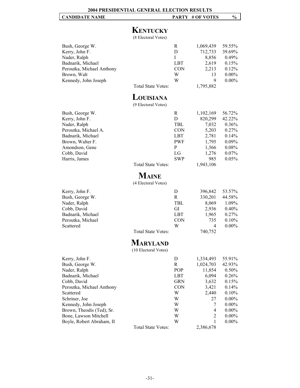# **KENTUCKY**

(8 Electoral Votes)

| Bush, George W.              |                                  | R                     | 1,069,439 | 59.55%   |
|------------------------------|----------------------------------|-----------------------|-----------|----------|
| Kerry, John F.               |                                  | D                     | 712,733   | 39.69%   |
| Nader, Ralph                 |                                  | I                     | 8,856     | 0.49%    |
| Badnarik, Michael            |                                  | LBT                   | 2,619     | 0.15%    |
| Peroutka, Michael Anthony    |                                  | <b>CON</b>            | 2,213     | 0.12%    |
| Brown, Walt                  |                                  | W                     | 13        | $0.00\%$ |
| Kennedy, John Joseph         |                                  | W                     | 9         | $0.00\%$ |
|                              | Total State Votes:               |                       | 1,795,882 |          |
|                              | LOUISIANA<br>(9 Electoral Votes) |                       |           |          |
| Bush, George W.              |                                  | R                     | 1,102,169 | 56.72%   |
| Kerry, John F.               |                                  | D                     | 820,299   | 42.22%   |
| Nader, Ralph                 |                                  | TBL                   | 7,032     | $0.36\%$ |
| Peroutka, Michael A.         |                                  | <b>CON</b>            | 5,203     | 0.27%    |
| Badnarik, Michael            |                                  | LBT                   | 2,781     | $0.14\%$ |
| Brown, Walter F.             |                                  | PWF                   | 1,795     | $0.09\%$ |
| Amondson, Gene               |                                  | P                     | 1,566     | $0.08\%$ |
| $0.11 \, \text{N}$ $\cdot$ 1 |                                  | $\mathbf{r}$ $\alpha$ | 1.077     | 0.070    |

| Bush, George W.      | R          | 1,102,169 | 56.72%   |
|----------------------|------------|-----------|----------|
| Kerry, John F.       | D          | 820,299   | 42.22%   |
| Nader, Ralph         | TBL        | 7,032     | $0.36\%$ |
| Peroutka, Michael A. | <b>CON</b> | 5,203     | $0.27\%$ |
| Badnarik, Michael    | <b>LBT</b> | 2,781     | $0.14\%$ |
| Brown, Walter F.     | <b>PWF</b> | 1,795     | $0.09\%$ |
| Amondson, Gene       | P          | 1,566     | $0.08\%$ |
| Cobb, David          | LG         | 1.276     | $0.07\%$ |
| Harris, James        | <b>SWP</b> | 985       | $0.05\%$ |

Total State Votes: 1,943,106

# **MAINE**

(4 Electoral Votes)

| Kerry, John F.    | $\mathsf{D}$ | 396,842 | 53.57%   |
|-------------------|--------------|---------|----------|
| Bush, George W.   | R            | 330,201 | 44.58%   |
| Nader, Ralph      | TBL          | 8.069   | 1.09%    |
| Cobb, David       | GI           | 2.936   | $0.40\%$ |
| Badnarik, Michael | LBT          | 1.965   | $0.27\%$ |
| Peroutka, Michael | <b>CON</b>   | 735     | $0.10\%$ |
| Scattered         | W            | 4       | $0.00\%$ |
|                   |              |         |          |

Total State Votes: 740,752

# **MARYLAND**

(10 Electoral Votes)

| Kerry, John F.            |                           | D          | 1,334,493      | 55.91%   |
|---------------------------|---------------------------|------------|----------------|----------|
| Bush, George W.           |                           | R          | 1,024,703      | 42.93%   |
| Nader, Ralph              |                           | POP        | 11,854         | $0.50\%$ |
| Badnarik, Michael         |                           | LBT        | 6,094          | $0.26\%$ |
| Cobb, David               |                           | <b>GRN</b> | 3,632          | 0.15%    |
| Peroutka, Michael Anthony |                           | <b>CON</b> | 3,421          | $0.14\%$ |
| Scattered                 |                           | W          | 2,440          | $0.10\%$ |
| Schriner, Joe             |                           | W          | 27             | $0.00\%$ |
| Kennedy, John Joseph      |                           | W          | 7              | $0.00\%$ |
| Brown, Theodis (Ted), Sr. |                           | W          | 4              | $0.00\%$ |
| Bone, Lawson Mitchell     |                           | W          | $\overline{2}$ | $0.00\%$ |
| Boyle, Robert Abraham, II |                           | W          |                | $0.00\%$ |
|                           | <b>Total State Votes:</b> |            | 2,386,678      |          |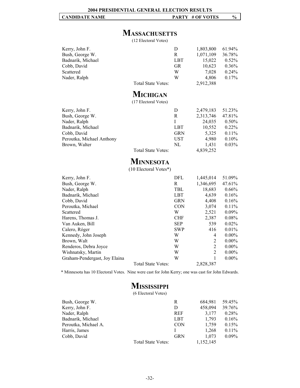# **MASSACHUSETTS**

(12 Electoral Votes)

| Kerry, John F.    |                    | Ð   | 1,803,800 | $61.94\%$ |
|-------------------|--------------------|-----|-----------|-----------|
| Bush, George W.   |                    | R   | 1,071,109 | 36.78%    |
| Badnarik, Michael |                    | LBT | 15,022    | $0.52\%$  |
| Cobb, David       |                    | GR  | 10,623    | $0.36\%$  |
| Scattered         |                    | W   | 7.028     | $0.24\%$  |
| Nader, Ralph      |                    | W   | 4.806     | $0.17\%$  |
|                   | Total State Votes: |     | 2,912,388 |           |

# **MICHIGAN**

(17 Electoral Votes)

| Kerry, John F.            |                           | D          | 2,479,183 | 51.23%   |
|---------------------------|---------------------------|------------|-----------|----------|
|                           |                           |            |           |          |
| Bush, George W.           |                           | R          | 2,313,746 | 47.81%   |
| Nader, Ralph              |                           |            | 24,035    | $0.50\%$ |
| Badnarik, Michael         |                           | <b>LBT</b> | 10,552    | $0.22\%$ |
| Cobb, David               |                           | <b>GRN</b> | 5,325     | 0.11%    |
| Peroutka, Michael Anthony |                           | UST        | 4,980     | 0.10%    |
| Brown, Walter             |                           | NL         | 1.431     | $0.03\%$ |
|                           | <b>Total State Votes:</b> |            | 4,839,252 |          |

# **MINNESOTA**

(10 Electoral Votes\*)

| Kerry, John F.                |                    | DFL        | 1,445,014 | 51.09%   |
|-------------------------------|--------------------|------------|-----------|----------|
| Bush, George W.               |                    | R          | 1,346,695 | 47.61%   |
| Nader, Ralph                  |                    | <b>TBL</b> | 18,683    | 0.66%    |
| Badnarik, Michael             |                    | <b>LBT</b> | 4,639     | 0.16%    |
| Cobb, David                   |                    | <b>GRN</b> | 4,408     | 0.16%    |
| Peroutka, Michael             |                    | <b>CON</b> | 3,074     | $0.11\%$ |
| Scattered                     |                    | W          | 2,521     | $0.09\%$ |
| Harens, Thomas J.             |                    | <b>CHF</b> | 2,387     | 0.08%    |
| Van Auken, Bill               |                    | <b>SEP</b> | 539       | $0.02\%$ |
| Calero, Róger                 |                    | <b>SWP</b> | 416       | 0.01%    |
| Kennedy, John Joseph          |                    | W          | 4         | $0.00\%$ |
| Brown, Walt                   |                    | W          | 2         | $0.00\%$ |
| Renderos, Debra Joyce         |                    | W          | 2         | $0.00\%$ |
| Wishnatsky, Martin            |                    | W          | 2         | $0.00\%$ |
| Graham-Pendergast, Joy Elaina |                    | W          |           | $0.00\%$ |
|                               | Total State Votes: |            | 2,828,387 |          |

\* Minnesota has 10 Electoral Votes. Nine were cast for John Kerry; one was cast for John Edwards.

# **MISSISSIPPI**

(6 Electoral Votes)

| Bush, George W.      |                    | R          | 684,981   | 59.45%   |
|----------------------|--------------------|------------|-----------|----------|
| Kerry, John F.       |                    | D          | 458,094   | 39.76%   |
| Nader, Ralph         |                    | <b>REF</b> | 3.177     | 0.28%    |
| Badnarik, Michael    |                    | LBT        | 1.793     | 0.16%    |
| Peroutka, Michael A. |                    | <b>CON</b> | 1,759     | 0.15%    |
| Harris, James        |                    |            | 1,268     | $0.11\%$ |
| Cobb, David          |                    | <b>GRN</b> | 1.073     | $0.09\%$ |
|                      | Total State Votes: |            | 1,152,145 |          |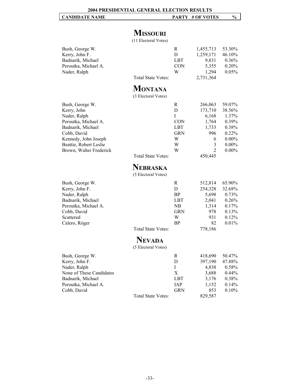# **MISSOURI**

(11 Electoral Votes)

| Bush, George W.<br>Kerry, John F.<br>Badnarik, Michael<br>Peroutka, Michael A.<br>Nader, Ralph                                                                                          | <b>Total State Votes:</b>             | R<br>D<br>LBT<br><b>CON</b><br>W                       | 1,455,713<br>1,259,171<br>9,831<br>5,355<br>1,294<br>2,731,364                                           | 53.30%<br>46.10%<br>0.36%<br>0.20%<br>0.05%                                              |
|-----------------------------------------------------------------------------------------------------------------------------------------------------------------------------------------|---------------------------------------|--------------------------------------------------------|----------------------------------------------------------------------------------------------------------|------------------------------------------------------------------------------------------|
|                                                                                                                                                                                         | <b>MONTANA</b><br>(3 Electoral Votes) |                                                        |                                                                                                          |                                                                                          |
| Bush, George W.<br>Kerry, John<br>Nader, Ralph<br>Peroutka, Michael A.<br>Badnarik, Michael<br>Cobb, David<br>Kennedy, John Joseph<br>Beattie, Robert Leslie<br>Brown, Walter Frederick | Total State Votes:                    | R<br>D<br>I<br><b>CON</b><br>LBT<br>GRN<br>W<br>W<br>W | 266,063<br>173,710<br>6,168<br>1,764<br>1,733<br>996<br>6<br>$\mathfrak{Z}$<br>$\overline{2}$<br>450,445 | 59.07%<br>38.56%<br>1.37%<br>0.39%<br>0.38%<br>0.22%<br>$0.00\%$<br>$0.00\%$<br>$0.00\%$ |
|                                                                                                                                                                                         | NEBRASKA<br>(5 Electoral Votes)       |                                                        |                                                                                                          |                                                                                          |
| Bush, George W.<br>Kerry, John F.<br>Nader, Ralph<br>Badnarik, Michael<br>Peroutka, Michael A.<br>Cobb, David<br>Scattered<br>Calero, Róger                                             | <b>Total State Votes:</b>             | R<br>$\mathbf D$<br>BP<br>LBT<br>NB<br>GRN<br>W<br>BP  | 512,814<br>254,328<br>5,698<br>2,041<br>1,314<br>978<br>931<br>82<br>778,186                             | 65.90%<br>32.68%<br>0.73%<br>0.26%<br>0.17%<br>0.13%<br>0.12%<br>0.01%                   |
|                                                                                                                                                                                         | <b>NEVADA</b><br>(5 Electoral Votes)  |                                                        |                                                                                                          |                                                                                          |
| Bush, George W.<br>Kerry, John F.<br>Nader, Ralph<br>None of These Candidates<br>Badnarik, Michael<br>Peroutka, Michael A.<br>Cobb, David                                               | Total State Votes:                    | R<br>D<br>Ι<br>X<br>LBT<br>IAP<br><b>GRN</b>           | 418,690<br>397,190<br>4,838<br>3,688<br>3,176<br>1,152<br>853<br>829,587                                 | 50.47%<br>47.88%<br>0.58%<br>0.44%<br>0.38%<br>0.14%<br>0.10%                            |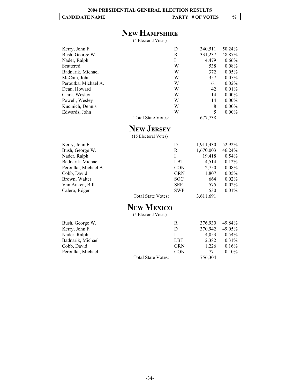# **NEW HAMPSHIRE**

(4 Electoral Votes)

| Kerry, John F.       | D                  | 340,511 | 50.24%   |
|----------------------|--------------------|---------|----------|
| Bush, George W.      | R                  | 331,237 | 48.87%   |
| Nader, Ralph         | L                  | 4,479   | $0.66\%$ |
| Scattered            | W                  | 538     | $0.08\%$ |
| Badnarik, Michael    | W                  | 372     | $0.05\%$ |
| McCain, John         | W                  | 357     | $0.05\%$ |
| Peroutka, Michael A. | W                  | 161     | $0.02\%$ |
| Dean, Howard         | W                  | 42      | $0.01\%$ |
| Clark, Wesley        | W                  | 14      | $0.00\%$ |
| Powell, Wesley       | W                  | 14      | $0.00\%$ |
| Kucinich, Dennis     | W                  | 8       | $0.00\%$ |
| Edwards, John        | W                  | 5       | $0.00\%$ |
|                      | Total State Votes: | 677,738 |          |

# **NEW JERSEY**

(15 Electoral Votes)

| Kerry, John F.       |                    | D          | 1,911,430 | 52.92%   |
|----------------------|--------------------|------------|-----------|----------|
| Bush, George W.      |                    | R          | 1,670,003 | 46.24%   |
| Nader, Ralph         |                    | Ι          | 19,418    | $0.54\%$ |
| Badnarik, Michael    |                    | LBT        | 4.514     | $0.12\%$ |
| Peroutka, Michael A. |                    | <b>CON</b> | 2,750     | $0.08\%$ |
| Cobb, David          |                    | <b>GRN</b> | 1,807     | $0.05\%$ |
| Brown, Walter        |                    | SOC        | 664       | $0.02\%$ |
| Van Auken, Bill      |                    | <b>SEP</b> | 575       | $0.02\%$ |
| Calero, Róger        |                    | <b>SWP</b> | 530       | $0.01\%$ |
|                      | Total State Votes: |            | 3,611,691 |          |

# **NEW MEXICO**

(5 Electoral Votes)

| Bush, George W.   |                    | R          | 376,930 | 49.84%   |
|-------------------|--------------------|------------|---------|----------|
| Kerry, John F.    |                    | D          | 370,942 | 49.05%   |
| Nader, Ralph      |                    |            | 4.053   | $0.54\%$ |
| Badnarik, Michael |                    | LBT        | 2,382   | $0.31\%$ |
| Cobb, David       |                    | <b>GRN</b> | 1.226   | 0.16%    |
| Peroutka, Michael |                    | <b>CON</b> | 771     | $0.10\%$ |
|                   | Total State Votes: |            | 756,304 |          |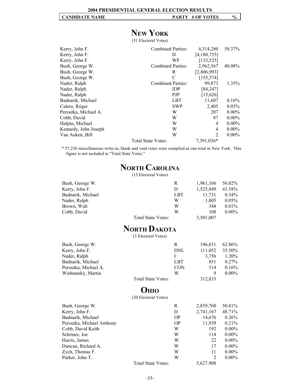# **NEW YORK**

(31 Electoral Votes)

| Kerry, John F.       | <b>Combined Parties:</b>  | 4,314,280      | 58.37%   |
|----------------------|---------------------------|----------------|----------|
| Kerry, John F.       | Ð                         | [4,180,755]    |          |
| Kerry, John F.       | WF                        | [133, 525]     |          |
| Bush, George W.      | <b>Combined Parties:</b>  | 2,962,567      | 40.08%   |
| Bush, George W.      | R                         | [2,806,993]    |          |
| Bush, George W.      | $\mathcal{C}$             | [155, 574]     |          |
| Nader, Ralph         | <b>Combined Parties:</b>  | 99,873         | 1.35%    |
| Nader, Ralph         | <b>IDP</b>                | [84, 247]      |          |
| Nader, Ralph         | <b>PJP</b>                | [15, 626]      |          |
| Badnarik, Michael    | <b>LBT</b>                | 11,607         | 0.16%    |
| Calero, Róger        | <b>SWP</b>                | 2,405          | $0.03\%$ |
| Peroutka, Michael A. | W                         | 207            | $0.00\%$ |
| Cobb, David          | W                         | 87             | $0.00\%$ |
| Halpin, Michael      | W                         | 4              | $0.00\%$ |
| Kennedy, John Joseph | W                         | 4              | $0.00\%$ |
| Van Auken, Bill      | W                         | $\overline{2}$ | $0.00\%$ |
|                      | <b>Total State Votes:</b> | 7,391,036*     |          |

\* 57,230 miscellaneous write-in, blank and void votes were compiled as one total in New York. This figure is not included in "Total State Votes."

# **NORTH CAROLINA**

(15 Electoral Votes)

| Bush, George W.    | R   | 1,961,166 | 56.02%   |
|--------------------|-----|-----------|----------|
| Kerry, John F.     | D   | 1,525,849 | 43.58%   |
| Badnarik, Michael  | LBT | 11,731    | $0.34\%$ |
| Nader, Ralph       | W   | 1.805     | $0.05\%$ |
| Brown, Walt        | W   | 348       | $0.01\%$ |
| Cobb, David        | W   | 108       | $0.00\%$ |
| Total State Votes: |     | 3,501,007 |          |

# **NORTH DAKOTA**

(3 Electoral Votes)

| Bush, George W.      |                    | R          | 196,651 | 62.86%   |
|----------------------|--------------------|------------|---------|----------|
| Kerry, John F.       |                    | DNL        | 111,052 | 35.50%   |
| Nader, Ralph         |                    |            | 3.756   | 1.20%    |
| Badnarik, Michael    |                    | LBT        | 851     | $0.27\%$ |
| Peroutka, Michael A. |                    | <b>CON</b> | 514     | $0.16\%$ |
| Wishnatsky, Martin   |                    | W          | 9       | $0.00\%$ |
|                      | Total State Votes: |            | 312,833 |          |

# **OHIO**

(20 Electoral Votes)

| Bush, George W.           | R                  | 2,859,768 | 50.81%   |
|---------------------------|--------------------|-----------|----------|
| Kerry, John F.            | D                  | 2,741,167 | 48.71%   |
| Badnarik, Michael         | OP                 | 14,676    | 0.26%    |
| Peroutka, Michael Anthony | <b>OP</b>          | 11,939    | 0.21%    |
| Cobb, David Keith         | W                  | 192       | $0.00\%$ |
| Schriner, Joe             | W                  | 114       | $0.00\%$ |
| Harris, James             | W                  | 22        | $0.00\%$ |
| Duncan, Richard A.        | W                  | 17        | $0.00\%$ |
| Zych, Thomas F.           | W                  | 11        | $0.00\%$ |
| Parker, John T.           | W                  | 2         | $0.00\%$ |
|                           | Total State Votes: | 5,627,908 |          |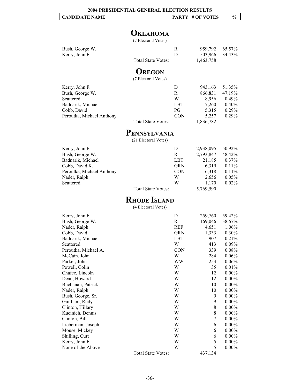| <b>CANDIDATE NAME</b> | # OF VOTES<br><b>PARTY</b> | $\mathcal{V}_{\mathbf{0}}$ |
|-----------------------|----------------------------|----------------------------|
|                       |                            |                            |

# **OKLAHOMA**

(7 Electoral Votes)

| Bush, George W. |                    | 959,792 65.57% |  |
|-----------------|--------------------|----------------|--|
| Kerry, John F.  |                    | 503,966 34.43% |  |
|                 | Total State Votes: | 1,463,758      |  |

# **OREGON**

(7 Electoral Votes)

| Kerry, John F.            |                    | D          | 943,163   | 51.35%   |
|---------------------------|--------------------|------------|-----------|----------|
| Bush, George W.           |                    | R          | 866,831   | 47.19%   |
| Scattered                 |                    | W          | 8.956     | $0.49\%$ |
| Badnarik, Michael         |                    | LBT        | 7.260     | $0.40\%$ |
| Cobb, David               |                    | PG.        | 5.315     | $0.29\%$ |
| Peroutka, Michael Anthony |                    | <b>CON</b> | 5.257     | $0.29\%$ |
|                           | Total State Votes: |            | 1,836,782 |          |

# **PENNSYLVANIA**

(21 Electoral Votes)

| Kerry, John F.            |                    | D          | 2,938,095 | 50.92%   |
|---------------------------|--------------------|------------|-----------|----------|
| Bush, George W.           |                    | R          | 2,793,847 | 48.42%   |
| Badnarik, Michael         |                    | LBT        | 21,185    | $0.37\%$ |
| Cobb, David K.            |                    | <b>GRN</b> | 6,319     | $0.11\%$ |
| Peroutka, Michael Anthony |                    | <b>CON</b> | 6,318     | 0.11%    |
| Nader, Ralph              |                    | W          | 2.656     | 0.05%    |
| Scattered                 |                    | W          | 1,170     | $0.02\%$ |
|                           | Total State Votes: |            | 5,769,590 |          |

# **RHODE ISLAND**

(4 Electoral Votes)

| Kerry, John F.       |                    | D          | 259,760 | 59.42%   |
|----------------------|--------------------|------------|---------|----------|
| Bush, George W.      |                    | R          | 169,046 | 38.67%   |
| Nader, Ralph         |                    | REF        | 4,651   | 1.06%    |
| Cobb, David          |                    | GRN        | 1,333   | 0.30%    |
| Badnarik, Michael    |                    | <b>LBT</b> | 907     | 0.21%    |
| Scattered            |                    | W          | 413     | 0.09%    |
| Peroutka, Michael A. |                    | <b>CON</b> | 339     | 0.08%    |
| McCain, John         |                    | W          | 284     | 0.06%    |
| Parker, John         |                    | WW         | 253     | 0.06%    |
| Powell, Colin        |                    | W          | 35      | 0.01%    |
| Chafee, Lincoln      |                    | W          | 12      | $0.00\%$ |
| Dean, Howard         |                    | W          | 12      | $0.00\%$ |
| Buchanan, Patrick    |                    | W          | 10      | $0.00\%$ |
| Nader, Ralph         |                    | W          | 10      | $0.00\%$ |
| Bush, George, Sr.    |                    | W          | 9       | $0.00\%$ |
| Guilliani, Rudy      |                    | W          | 9       | $0.00\%$ |
| Clinton, Hillary     |                    | W          | 8       | $0.00\%$ |
| Kucinich, Dennis     |                    | W          | 8       | $0.00\%$ |
| Clinton, Bill        |                    | W          | 7       | $0.00\%$ |
| Lieberman, Joseph    |                    | W          | 6       | $0.00\%$ |
| Mouse, Mickey        |                    | W          | 6       | $0.00\%$ |
| Shilling, Curt       |                    | W          | 6       | $0.00\%$ |
| Kerry, John F.       |                    | W          | 5       | $0.00\%$ |
| None of the Above    |                    | W          | 5       | $0.00\%$ |
|                      | Total State Votes: |            | 437,134 |          |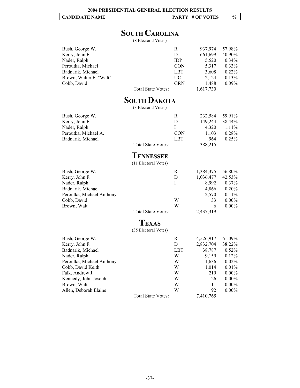# **SOUTH CAROLINA**

(8 Electoral Votes)

| Bush, George W.         |                    | R          | 937.974   | 57.98%   |
|-------------------------|--------------------|------------|-----------|----------|
| Kerry, John F.          |                    | D          | 661,699   | 40.90%   |
| Nader, Ralph            |                    | <b>IDP</b> | 5,520     | $0.34\%$ |
| Peroutka, Michael       |                    | <b>CON</b> | 5,317     | $0.33\%$ |
| Badnarik, Michael       |                    | LBT        | 3,608     | $0.22\%$ |
| Brown, Walter F. "Walt" |                    | UC.        | 2,124     | $0.13\%$ |
| Cobb, David             |                    | <b>GRN</b> | 1,488     | $0.09\%$ |
|                         | Total State Votes: |            | 1,617,730 |          |

# **SOUTH DAKOTA**

(3 Electoral Votes)

| Bush, George W.      |                    | R          | 232.584 | 59.91%   |
|----------------------|--------------------|------------|---------|----------|
| Kerry, John F.       |                    | Ð          | 149.244 | 38.44%   |
| Nader, Ralph         |                    |            | 4.320   | $1.11\%$ |
| Peroutka, Michael A. |                    | <b>CON</b> | 1.103   | 0.28%    |
| Badnarik, Michael    |                    | LBT        | 964     | 0.25%    |
|                      | Total State Votes: |            | 388,215 |          |

## **TENNESSEE**

(11 Electoral Votes)

| Bush, George W.           |                    | R | 1,384,375 | 56.80%   |
|---------------------------|--------------------|---|-----------|----------|
| Kerry, John F.            |                    | D | 1,036,477 | 42.53%   |
| Nader, Ralph              |                    |   | 8.992     | $0.37\%$ |
| Badnarik, Michael         |                    |   | 4,866     | 0.20%    |
| Peroutka, Michael Anthony |                    |   | 2.570     | $0.11\%$ |
| Cobb, David               |                    | W | 33        | $0.00\%$ |
| Brown, Walt               |                    | W | 6         | $0.00\%$ |
|                           | Total State Votes: |   | 2,437,319 |          |
|                           |                    |   |           |          |

# **TEXAS**

(35 Electoral Votes)

| Bush, George W.           |                           | R          | 4,526,917 | 61.09%   |
|---------------------------|---------------------------|------------|-----------|----------|
| Kerry, John F.            |                           | D          | 2,832,704 | 38.22%   |
| Badnarik, Michael         |                           | <b>LBT</b> | 38,787    | $0.52\%$ |
| Nader, Ralph              |                           | W          | 9,159     | $0.12\%$ |
| Peroutka, Michael Anthony |                           | W          | 1,636     | $0.02\%$ |
| Cobb, David Keith         |                           | W          | 1,014     | $0.01\%$ |
| Falk, Andrew J.           |                           | W          | 219       | $0.00\%$ |
| Kennedy, John Joseph      |                           | W          | 126       | $0.00\%$ |
| Brown, Walt               |                           | W          | 111       | $0.00\%$ |
| Allen, Deborah Elaine     |                           | W          | 92        | $0.00\%$ |
|                           | <b>Total State Votes:</b> |            | 7,410,765 |          |
|                           |                           |            |           |          |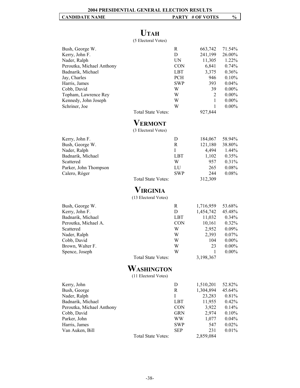# **UTAH**

(5 Electoral Votes)

| Bush, George W.<br>Kerry, John F.<br>Nader, Ralph<br>Peroutka, Michael Anthony<br>Badnarik, Michael<br>Jay, Charles<br>Harris, James<br>Cobb, David<br>Topham, Lawrence Rey<br>Kennedy, John Joseph<br>Schriner, Joe | <b>Total State Votes:</b><br><b>VERMONT</b> | R<br>D<br>UN<br><b>CON</b><br><b>LBT</b><br><b>PCH</b><br><b>SWP</b><br>W<br>W<br>W<br>W | 663,742<br>241,199<br>11,305<br>6,841<br>3,375<br>946<br>393<br>39<br>2<br>1<br>1<br>927,844     | 71.54%<br>26.00%<br>1.22%<br>0.74%<br>0.36%<br>0.10%<br>0.04%<br>$0.00\%$<br>$0.00\%$<br>$0.00\%$<br>$0.00\%$ |
|----------------------------------------------------------------------------------------------------------------------------------------------------------------------------------------------------------------------|---------------------------------------------|------------------------------------------------------------------------------------------|--------------------------------------------------------------------------------------------------|---------------------------------------------------------------------------------------------------------------|
|                                                                                                                                                                                                                      | (3 Electoral Votes)                         |                                                                                          |                                                                                                  |                                                                                                               |
| Kerry, John F.<br>Bush, George W.<br>Nader, Ralph<br>Badnarik, Michael<br>Scattered<br>Parker, John Thompson<br>Calero, Róger                                                                                        | <b>Total State Votes:</b>                   | D<br>R<br>I<br><b>LBT</b><br>W<br>LU<br>SWP                                              | 184,067<br>121,180<br>4,494<br>1,102<br>957<br>265<br>244<br>312,309                             | 58.94%<br>38.80%<br>1.44%<br>0.35%<br>0.31%<br>0.08%<br>0.08%                                                 |
|                                                                                                                                                                                                                      | VIRGINIA<br>(13 Electoral Votes)            |                                                                                          |                                                                                                  |                                                                                                               |
| Bush, George W.<br>Kerry, John F.<br>Badnarik, Michael<br>Peroutka, Michael A.<br>Scattered<br>Nader, Ralph<br>Cobb, David<br>Brown, Walter F.<br>Spence, Joseph                                                     | <b>Total State Votes:</b>                   | R<br>D<br><b>LBT</b><br><b>CON</b><br>W<br>W<br>W<br>W<br>W                              | 1,716,959<br>1,454,742<br>11,032<br>10,161<br>2,952<br>2,393<br>104<br>23<br>1<br>3,198,367      | 53.68%<br>45.48%<br>0.34%<br>0.32%<br>0.09%<br>0.07%<br>$0.00\%$<br>$0.00\%$<br>$0.00\%$                      |
|                                                                                                                                                                                                                      | WASHINGTON<br>(11 Electoral Votes)          |                                                                                          |                                                                                                  |                                                                                                               |
| Kerry, John<br>Bush, George<br>Nader, Ralph<br>Badnarik, Michael<br>Peroutka, Michael Anthony<br>Cobb, David<br>Parker, John<br>Harris, James<br>Van Auken, Bill                                                     | Total State Votes:                          | D<br>R<br>Ι<br>LBT<br><b>CON</b><br>GRN<br>WW<br>SWP<br>SEP                              | 1,510,201<br>1,304,894<br>23,283<br>11,955<br>3,922<br>2,974<br>1,077<br>547<br>231<br>2,859,084 | 52.82%<br>45.64%<br>0.81%<br>0.42%<br>0.14%<br>0.10%<br>0.04%<br>0.02%<br>0.01%                               |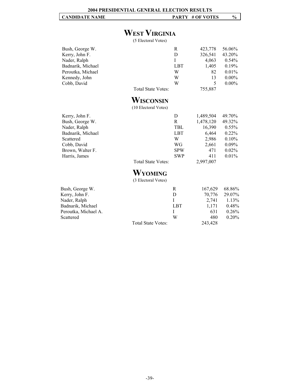# **WEST VIRGINIA**

(5 Electoral Votes)

| Bush, George W.      |                           | R          | 423,778   | 56.06%   |
|----------------------|---------------------------|------------|-----------|----------|
| Kerry, John F.       |                           | D          | 326,541   | 43.20%   |
| Nader, Ralph         |                           | I          | 4,063     | 0.54%    |
| Badnarik, Michael    |                           | LBT        | 1,405     | 0.19%    |
| Peroutka, Michael    |                           | W          | 82        | 0.01%    |
| Kennedy, John        |                           | W          | 13        | $0.00\%$ |
| Cobb, David          |                           | W          | 5         | $0.00\%$ |
|                      | <b>Total State Votes:</b> |            | 755,887   |          |
|                      | WISCONSIN                 |            |           |          |
|                      | (10 Electoral Votes)      |            |           |          |
| Kerry, John F.       |                           | D          | 1,489,504 | 49.70%   |
| Bush, George W.      |                           | R          | 1,478,120 | 49.32%   |
| Nader, Ralph         |                           | <b>TBL</b> | 16,390    | 0.55%    |
| Badnarik, Michael    |                           | <b>LBT</b> | 6,464     | 0.22%    |
| Scattered            |                           | W          | 2,986     | 0.10%    |
| Cobb, David          |                           | WG         | 2,661     | $0.09\%$ |
| Brown, Walter F.     |                           | <b>SPW</b> | 471       | 0.02%    |
| Harris, James        |                           | <b>SWP</b> | 411       | 0.01%    |
|                      | <b>Total State Votes:</b> |            | 2,997,007 |          |
|                      | WYOMING                   |            |           |          |
|                      | (3 Electoral Votes)       |            |           |          |
| Bush, George W.      |                           | R          | 167,629   | 68.86%   |
| Kerry, John F.       |                           | D          | 70,776    | 29.07%   |
| Nader, Ralph         |                           | T          | 2,741     | 1.13%    |
| Badnarik, Michael    |                           | <b>LBT</b> | 1,171     | 0.48%    |
| Peroutka, Michael A. |                           | I          | 631       | 0.26%    |
| Scattered            |                           | W          | 480       | 0.20%    |
|                      | <b>Total State Votes:</b> |            | 243,428   |          |
|                      |                           |            |           |          |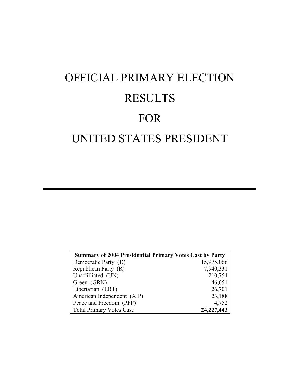# OFFICIAL PRIMARY ELECTION **RESULTS** FOR UNITED STATES PRESIDENT

| <b>Summary of 2004 Presidential Primary Votes Cast by Party</b> |              |
|-----------------------------------------------------------------|--------------|
| Democratic Party (D)                                            | 15,975,066   |
| Republican Party (R)                                            | 7,940,331    |
| Unaffilliated (UN)                                              | 210,754      |
| Green (GRN)                                                     | 46,651       |
| Libertarian (LBT)                                               | 26,701       |
| American Independent (AIP)                                      | 23,188       |
| Peace and Freedom (PFP)                                         | 4,752        |
| <b>Total Primary Votes Cast:</b>                                | 24, 227, 443 |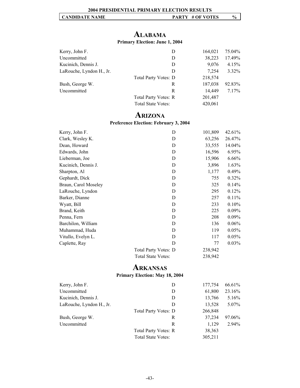# **ALABAMA**

#### **Primary Election: June 1, 2004**

| Kerry, John F.           | D                           | 164,021 | 75.04%   |
|--------------------------|-----------------------------|---------|----------|
| Uncommitted              | D                           | 38,223  | 17.49%   |
| Kucinich, Dennis J.      | D                           | 9,076   | 4.15%    |
| LaRouche, Lyndon H., Jr. | D                           | 7.254   | $3.32\%$ |
|                          | <b>Total Party Votes: D</b> | 218,574 |          |
| Bush, George W.          | R                           | 187,038 | 92.83%   |
| Uncommitted              | R                           | 14,449  | 7.17%    |
|                          | Total Party Votes: R        | 201,487 |          |
|                          | <b>Total State Votes:</b>   | 420,061 |          |

#### **ARIZONA Preference Election: February 3, 2004**

| Kerry, John F.       | D                           | 101,809 | 42.61%   |
|----------------------|-----------------------------|---------|----------|
| Clark, Wesley K.     | D                           | 63,256  | 26.47%   |
| Dean, Howard         | D                           | 33,555  | 14.04%   |
| Edwards, John        | D                           | 16,596  | 6.95%    |
| Lieberman, Joe       | D                           | 15,906  | 6.66%    |
| Kucinich, Dennis J.  | D                           | 3,896   | 1.63%    |
| Sharpton, Al         | D                           | 1,177   | 0.49%    |
| Gephardt, Dick       | D                           | 755     | $0.32\%$ |
| Braun, Carol Moseley | D                           | 325     | 0.14%    |
| LaRouche, Lyndon     | D                           | 295     | 0.12%    |
| Barker, Dianne       | D                           | 257     | 0.11%    |
| Wyatt, Bill          | D                           | 233     | 0.10%    |
| Brand, Keith         | D                           | 225     | $0.09\%$ |
| Penna, Fern          | D                           | 208     | $0.09\%$ |
| Barchilon, William   | D                           | 136     | 0.06%    |
| Muhammad, Huda       | D                           | 119     | 0.05%    |
| Vitullo, Evelyn L.   | D                           | 117     | 0.05%    |
| Caplette, Ray        | D                           | 77      | $0.03\%$ |
|                      | <b>Total Party Votes: D</b> | 238,942 |          |
|                      | <b>Total State Votes:</b>   | 238,942 |          |

# **ARKANSAS**

#### **Primary Election: May 18, 2004**

| Kerry, John F.           | D                           | 177,754 | 66.61% |
|--------------------------|-----------------------------|---------|--------|
| Uncommitted              | D                           | 61,800  | 23.16% |
| Kucinich, Dennis J.      | D                           | 13,766  | 5.16%  |
| LaRouche, Lyndon H., Jr. | D                           | 13,528  | 5.07%  |
|                          | <b>Total Party Votes: D</b> | 266,848 |        |
| Bush, George W.          | R                           | 37,234  | 97.06% |
| Uncommitted              | R                           | 1,129   | 2.94%  |
|                          | <b>Total Party Votes: R</b> | 38,363  |        |
|                          | <b>Total State Votes:</b>   | 305,211 |        |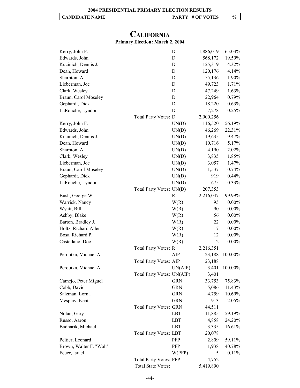# **CALIFORNIA**

## **Primary Election: March 2, 2004**

| Kerry, John F.          | D                             | 1,886,019 | 65.03%   |
|-------------------------|-------------------------------|-----------|----------|
| Edwards, John           | D                             | 568,172   | 19.59%   |
| Kucinich, Dennis J.     | D                             | 125,319   | 4.32%    |
| Dean, Howard            | D                             | 120,176   | 4.14%    |
| Sharpton, Al            | D                             | 55,136    | 1.90%    |
| Lieberman, Joe          | D                             | 49,723    | 1.71%    |
| Clark, Wesley           | D                             | 47,249    | 1.63%    |
| Braun, Carol Moseley    | D                             | 22,964    | 0.79%    |
| Gephardt, Dick          | D                             | 18,220    | 0.63%    |
| LaRouche, Lyndon        | D                             | 7,278     | 0.25%    |
|                         | Total Party Votes: D          | 2,900,256 |          |
| Kerry, John F.          | UN(D)                         | 116,520   | 56.19%   |
| Edwards, John           | UN(D)                         | 46,269    | 22.31%   |
| Kucinich, Dennis J.     | UN(D)                         | 19,635    | 9.47%    |
| Dean, Howard            | UN(D)                         | 10,716    | 5.17%    |
| Sharpton, Al            | UN(D)                         | 4,190     | 2.02%    |
| Clark, Wesley           | UN(D)                         | 3,835     | 1.85%    |
| Lieberman, Joe          | UN(D)                         | 3,057     | 1.47%    |
| Braun, Carol Moseley    | UN(D)                         | 1,537     | 0.74%    |
| Gephardt, Dick          | UN(D)                         | 919       | 0.44%    |
| LaRouche, Lyndon        | UN(D)                         | 675       | 0.33%    |
|                         | Total Party Votes: UN(D)      | 207,353   |          |
| Bush, George W.         | R                             | 2,216,047 | 99.99%   |
| Warrick, Nancy          | W(R)                          | 95        | $0.00\%$ |
| Wyatt, Bill             | W(R)                          | 90        | $0.00\%$ |
| Ashby, Blake            | W(R)                          | 56        | $0.00\%$ |
| Barton, Bradley J.      | W(R)                          | 22        | $0.00\%$ |
| Holtz, Richard Allen    | W(R)                          | 17        | $0.00\%$ |
| Bosa, Richard P.        | W(R)                          | 12        | $0.00\%$ |
| Castellano, Doc         | W(R)                          | 12        | $0.00\%$ |
|                         | Total Party Votes: R          | 2,216,351 |          |
| Peroutka, Michael A.    | AIP                           | 23,188    | 100.00%  |
|                         | <b>Total Party Votes: AIP</b> | 23,188    |          |
| Peroutka, Michael A     | UN(AIP)                       | 3,401     | 100.00%  |
|                         | Total Party Votes: UN(AIP)    | 3,401     |          |
| Camejo, Peter Miguel    | <b>GRN</b>                    | 33,753    | 75.83%   |
| Cobb, David             | <b>GRN</b>                    | 5,086     | 11.43%   |
| Salzman, Lorna          | <b>GRN</b>                    | 4,759     | 10.69%   |
| Mesplay, Kent           | <b>GRN</b>                    | 913       | 2.05%    |
|                         | <b>Total Party Votes: GRN</b> | 44,511    |          |
| Nolan, Gary             | LBT                           | 11,885    | 59.19%   |
| Russo, Aaron            | <b>LBT</b>                    | 4,858     | 24.20%   |
| Badnarik, Michael       | <b>LBT</b>                    | 3,335     | 16.61%   |
|                         | <b>Total Party Votes: LBT</b> | 20,078    |          |
| Peltier, Leonard        | PFP                           | 2,809     | 59.11%   |
| Brown, Walter F. "Walt" | PFP                           | 1,938     | 40.78%   |
| Feuer, Israel           | W(PFP)                        | 5         | 0.11%    |
|                         | <b>Total Party Votes: PFP</b> | 4,752     |          |
|                         | Total State Votes:            | 5,419,890 |          |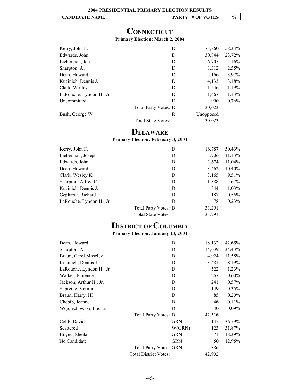# **CONNECTICUT**

#### **Primary Election: March 2, 2004**

| Kerry, John F.           | D                         | 75,860    | 58.34% |
|--------------------------|---------------------------|-----------|--------|
| Edwards, John            | D                         | 30,844    | 23.72% |
| Lieberman, Joe           | D                         | 6,705     | 5.16%  |
| Sharpton, Al             | D                         | 3,312     | 2.55%  |
| Dean, Howard             | D                         | 5,166     | 3.97%  |
| Kucinich, Dennis J.      | D                         | 4,133     | 3.18%  |
| Clark, Wesley            | D                         | 1,546     | 1.19%  |
| LaRouche, Lyndon H., Jr. | D                         | 1,467     | 1.13%  |
| Uncommitted              | D                         | 990       | 0.76%  |
|                          | Total Party Votes: D      | 130,023   |        |
| Bush, George W.          | R                         | Unopposed |        |
|                          | <b>Total State Votes:</b> | 130,023   |        |

# **DELAWARE**

#### **Primary Election: February 3, 2004**

| Kerry, John F.           | D                           | 16,787 | 50.43%   |
|--------------------------|-----------------------------|--------|----------|
| Lieberman, Joseph        | D                           | 3,706  | 11.13%   |
| Edwards, John            | D                           | 3,674  | 11.04%   |
| Dean, Howard             | D                           | 3,462  | 10.40%   |
| Clark, Wesley K.         | D                           | 3,165  | 9.51%    |
| Sharpton, Alfred C.      | D                           | 1,888  | $5.67\%$ |
| Kucinich, Dennis J.      | D                           | 344    | $1.03\%$ |
| Gephardt, Richard        | D                           | 187    | $0.56\%$ |
| LaRouche, Lyndon H., Jr. | D                           | 78     | $0.23\%$ |
|                          | <b>Total Party Votes: D</b> | 33,291 |          |
|                          | <b>Total State Votes:</b>   | 33,291 |          |

# **DISTRICT OF COLUMBIA**

#### **Primary Election: January 13, 2004**

| Dean, Howard             |                               | D          | 18,132 | 42.65%   |
|--------------------------|-------------------------------|------------|--------|----------|
| Sharpton, Al             |                               | D          | 14,639 | 34.43%   |
| Braun, Carol Moseley     |                               | D          | 4,924  | 11.58%   |
| Kucinich, Dennis J.      |                               | D          | 3,481  | 8.19%    |
| LaRouche, Lyndon H., Jr. |                               | D          | 522    | 1.23%    |
| Walker, Florence         |                               | D          | 257    | 0.60%    |
| Jackson, Arthur H., Jr.  |                               | D          | 241    | $0.57\%$ |
| Supreme, Vermin          |                               | D          | 149    | 0.35%    |
| Braun, Harry, III        |                               | D          | 85     | 0.20%    |
| Chebib, Jeanne           |                               | D          | 46     | 0.11%    |
| Wojciechowski, Lucian    |                               | D          | 40     | $0.09\%$ |
|                          | Total Party Votes: D          |            | 42,516 |          |
| Cobb, David              |                               | <b>GRN</b> | 142    | 36.79%   |
| Scattered                |                               | W(GRN)     | 123    | 31.87%   |
| Bilyeu, Sheila           |                               | <b>GRN</b> | 71     | 18.39%   |
| No Candidate             |                               | <b>GRN</b> | 50     | 12.95%   |
|                          | <b>Total Party Votes: GRN</b> |            | 386    |          |
|                          | <b>Total District Votes:</b>  |            | 42,902 |          |
|                          |                               |            |        |          |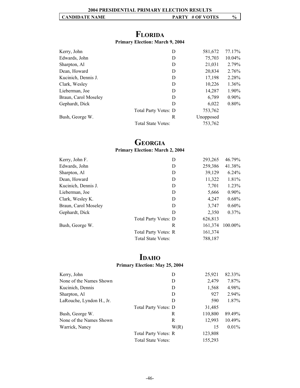# **FLORIDA**

#### **Primary Election: March 9, 2004**

| D                    | 581,672   | 77.17%   |
|----------------------|-----------|----------|
| D                    | 75,703    | 10.04%   |
| D                    | 21,031    | 2.79%    |
| D                    | 20,834    | 2.76%    |
| D                    | 17,198    | 2.28%    |
| D                    | 10,226    | 1.36%    |
| D                    | 14,287    | 1.90%    |
| D                    | 6,789     | $0.90\%$ |
| D                    | 6,022     | $0.80\%$ |
| Total Party Votes: D | 753,762   |          |
| R                    | Unopposed |          |
| Total State Votes:   | 753,762   |          |
|                      |           |          |

#### **GEORGIA Primary Election: March 2, 2004**

| Kerry, John F.       | D                           | 293,265 | 46.79%   |
|----------------------|-----------------------------|---------|----------|
| Edwards, John        | D                           | 259,386 | 41.38%   |
| Sharpton, Al         | D                           | 39,129  | 6.24%    |
| Dean, Howard         | D                           | 11,322  | 1.81%    |
| Kucinich, Dennis J.  | D                           | 7,701   | 1.23%    |
| Lieberman, Joe       | D                           | 5,666   | $0.90\%$ |
| Clark, Wesley K.     | D                           | 4,247   | 0.68%    |
| Braun, Carol Moseley | D                           | 3,747   | $0.60\%$ |
| Gephardt, Dick       | D                           | 2,350   | $0.37\%$ |
|                      | <b>Total Party Votes: D</b> | 626,813 |          |
| Bush, George W.      | R                           | 161,374 | 100.00%  |
|                      | Total Party Votes: R        | 161,374 |          |
|                      | <b>Total State Votes:</b>   | 788,187 |          |

# **IDAHO**

## **Primary Election: May 25, 2004**

| Kerry, John              | D                           | 25,921  | 82.33%   |
|--------------------------|-----------------------------|---------|----------|
| None of the Names Shown  | D                           | 2,479   | 7.87%    |
| Kucinich, Dennis         | D                           | 1,568   | 4.98%    |
| Sharpton, Al             | D                           | 927     | 2.94%    |
| LaRouche, Lyndon H., Jr. | D                           | 590     | 1.87%    |
|                          | <b>Total Party Votes: D</b> | 31,485  |          |
| Bush, George W.          | R                           | 110,800 | 89.49%   |
| None of the Names Shown  | R                           | 12,993  | 10.49%   |
| Warrick, Nancy           | W(R)                        | 15      | $0.01\%$ |
|                          | Total Party Votes: R        | 123,808 |          |
|                          | <b>Total State Votes:</b>   | 155,293 |          |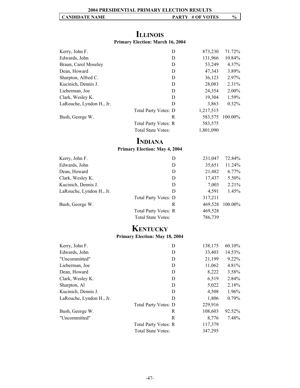# **ILLINOIS**

#### **Primary Election: March 16, 2004**

| Kerry, John F.           | D                           | 873,230   | 71.72%    |
|--------------------------|-----------------------------|-----------|-----------|
| Edwards, John            | D                           | 131,966   | $10.84\%$ |
| Braun, Carol Moseley     | D                           | 53,249    | 4.37%     |
| Dean, Howard             | D                           | 47,343    | 3.89%     |
| Sharpton, Alfred C.      | D                           | 36,123    | 2.97%     |
| Kucinich, Dennis J.      | D                           | 28,083    | 2.31%     |
| Lieberman, Joe           | D                           | 24,354    | $2.00\%$  |
| Clark, Wesley K.         | D                           | 19,304    | 1.59%     |
| LaRouche, Lyndon H., Jr. | D                           | 3,863     | $0.32\%$  |
|                          | <b>Total Party Votes: D</b> | 1,217,515 |           |
| Bush, George W.          | R                           | 583,575   | 100.00%   |
|                          | <b>Total Party Votes: R</b> | 583,575   |           |
|                          | <b>Total State Votes:</b>   | 1,801,090 |           |

# **INDIANA**

#### **Primary Election: May 4, 2004**

| Kerry, John F.           | D                         | 231,047 | 72.84%   |
|--------------------------|---------------------------|---------|----------|
| Edwards, John            | D                         | 35,651  | 11.24%   |
| Dean, Howard             | D                         | 21,482  | $6.77\%$ |
| Clark, Wesley K.         | D                         | 17,437  | 5.50%    |
| Kucinich, Dennis J.      | D                         | 7,003   | 2.21%    |
| LaRouche, Lyndon H., Jr. | D                         | 4,591   | 1.45%    |
|                          | Total Party Votes: D      | 317,211 |          |
| Bush, George W.          | R                         | 469,528 | 100.00%  |
|                          | Total Party Votes: R      | 469,528 |          |
|                          | <b>Total State Votes:</b> | 786,739 |          |

# **KENTUCKY**

#### **Primary Election: May 18, 2004**

| Kerry, John F.           | D                         | 138,175 | 60.10% |
|--------------------------|---------------------------|---------|--------|
| Edwards, John            | D                         | 33,403  | 14.53% |
| "Uncommitted"            | D                         | 21,199  | 9.22%  |
| Lieberman, Joe           | D                         | 11,062  | 4.81%  |
| Dean, Howard             | D                         | 8,222   | 3.58%  |
| Clark, Wesley K.         | D                         | 6,519   | 2.84%  |
| Sharpton, Al             | D                         | 5,022   | 2.18%  |
| Kucinich, Dennis J.      | D                         | 4,508   | 1.96%  |
| LaRouche, Lyndon H., Jr. | D                         | 1,806   | 0.79%  |
|                          | Total Party Votes: D      | 229,916 |        |
| Bush, George W.          | R                         | 108,603 | 92.52% |
| "Uncommitted"            | R                         | 8,776   | 7.48%  |
|                          | Total Party Votes: R      | 117,379 |        |
|                          | <b>Total State Votes:</b> | 347,295 |        |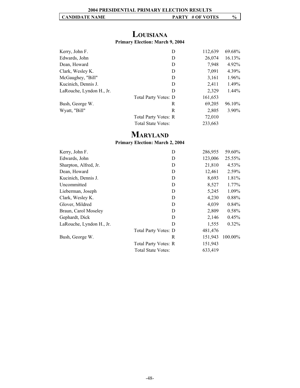### **LOUISIANA Primary Election: March 9, 2004**

| Kerry, John F.           | D                         | 112,639 | 69.68%   |
|--------------------------|---------------------------|---------|----------|
| Edwards, John            | D                         | 26,074  | 16.13%   |
| Dean, Howard             | D                         | 7,948   | 4.92%    |
| Clark, Wesley K.         | D                         | 7,091   | 4.39%    |
| McGaughey, "Bill"        | D                         | 3,161   | 1.96%    |
| Kucinich, Dennis J.      | D                         | 2,411   | 1.49%    |
| LaRouche, Lyndon H., Jr. | D                         | 2,329   | $1.44\%$ |
|                          | Total Party Votes: D      | 161,653 |          |
| Bush, George W.          | R                         | 69,205  | 96.10%   |
| Wyatt, "Bill"            | R                         | 2,805   | $3.90\%$ |
|                          | Total Party Votes: R      | 72,010  |          |
|                          | <b>Total State Votes:</b> | 233,663 |          |

# **MARYLAND**

**Primary Election: March 2, 2004**

| Kerry, John F.           | D                         | 286,955 | 59.60%   |
|--------------------------|---------------------------|---------|----------|
| Edwards, John            | D                         | 123,006 | 25.55%   |
| Sharpton, Alfred, Jr.    | D                         | 21,810  | 4.53%    |
| Dean, Howard             | D                         | 12,461  | 2.59%    |
| Kucinich, Dennis J.      | D                         | 8,693   | 1.81%    |
| Uncommitted              | D                         | 8,527   | 1.77%    |
| Lieberman, Joseph        | D                         | 5,245   | 1.09%    |
| Clark, Wesley K.         | D                         | 4,230   | 0.88%    |
| Glover, Mildred          | D                         | 4,039   | 0.84%    |
| Braun, Carol Moseley     | D                         | 2,809   | 0.58%    |
| Gephardt, Dick           | D                         | 2,146   | 0.45%    |
| LaRouche, Lyndon H., Jr. | D                         | 1,555   | $0.32\%$ |
|                          | Total Party Votes: D      | 481,476 |          |
| Bush, George W.          | R                         | 151,943 | 100.00%  |
|                          | Total Party Votes: R      | 151,943 |          |
|                          | <b>Total State Votes:</b> | 633,419 |          |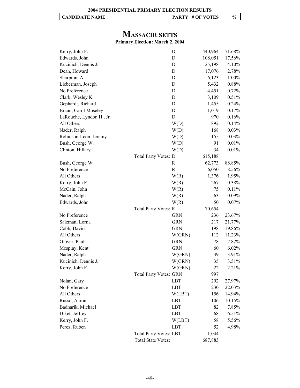# **MASSACHUSETTS**

### **Primary Election: March 2, 2004**

| Kerry, John F.           |                               | D            | 440,964 | 71.68% |
|--------------------------|-------------------------------|--------------|---------|--------|
| Edwards, John            |                               | D            | 108,051 | 17.56% |
| Kucinich, Dennis J.      |                               | D            | 25,198  | 4.10%  |
| Dean, Howard             |                               | D            | 17,076  | 2.78%  |
| Sharpton, Al             |                               | D            | 6,123   | 1.00%  |
| Lieberman, Joseph        |                               | D            | 5,432   | 0.88%  |
| No Preference            |                               | D            | 4,451   | 0.72%  |
| Clark, Wesley K.         |                               | D            | 3,109   | 0.51%  |
| Gephardt, Richard        |                               | D            | 1,455   | 0.24%  |
| Braun, Carol Moseley     |                               | D            | 1,019   | 0.17%  |
| LaRouche, Lyndon H., Jr. |                               | D            | 970     | 0.16%  |
| All Others               |                               | W(D)         | 892     | 0.14%  |
| Nader, Ralph             |                               | W(D)         | 168     | 0.03%  |
| Robinson-Leon, Jeremy    |                               | W(D)         | 155     | 0.03%  |
| Bush, George W.          |                               | W(D)         | 91      | 0.01%  |
| Clinton, Hillary         |                               | W(D)         | 34      | 0.01%  |
|                          | Total Party Votes: D          |              | 615,188 |        |
| Bush, George W.          |                               | R            | 62,773  | 88.85% |
| No Preference            |                               | $\mathbb{R}$ | 6,050   | 8.56%  |
| All Others               |                               | W(R)         | 1,376   | 1.95%  |
| Kerry, John F.           |                               | W(R)         | 267     | 0.38%  |
| McCain, John             |                               | W(R)         | 75      | 0.11%  |
| Nader, Ralph             |                               | W(R)         | 63      | 0.09%  |
| Edwards, John            |                               | W(R)         | 50      | 0.07%  |
|                          | Total Party Votes: R          |              | 70,654  |        |
| No Preference            |                               | <b>GRN</b>   | 236     | 23.67% |
| Salzman, Lorna           |                               | <b>GRN</b>   | 217     | 21.77% |
| Cobb, David              |                               | <b>GRN</b>   | 198     | 19.86% |
| All Others               |                               | W(GRN)       | 112     | 11.23% |
| Glover, Paul             |                               | <b>GRN</b>   | 78      | 7.82%  |
| Mesplay, Kent            |                               | <b>GRN</b>   | 60      | 6.02%  |
| Nader, Ralph             |                               | W(GRN)       | 39      | 3.91%  |
| Kucinich, Dennis J.      |                               | W(GRN)       | 35      | 3.51%  |
| Kerry, John F.           |                               | W(GRN)       | 22      | 2.21%  |
|                          | <b>Total Party Votes: GRN</b> |              | 997     |        |
| Nolan, Gary              |                               | LBT          | 292     | 27.97% |
| No Preference            |                               | LBT          | 230     | 22.03% |
| All Others               |                               | W(LBT)       | 156     | 14.94% |
| Russo, Aaron             |                               | LBT          | 106     | 10.15% |
| Badnarik, Michael        |                               | LBT          | 82      | 7.85%  |
| Diket, Jeffrey           |                               | LBT          | 68      | 6.51%  |
| Kerry, John F.           |                               | W(LBT)       | 58      | 5.56%  |
| Perez, Ruben             |                               | LBT          | 52      | 4.98%  |
|                          | <b>Total Party Votes: LBT</b> |              | 1,044   |        |
|                          | <b>Total State Votes:</b>     |              | 687,883 |        |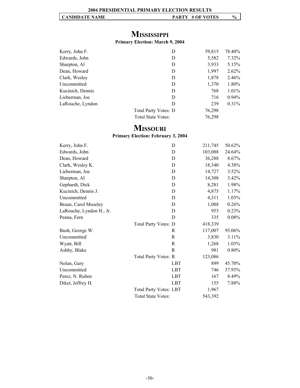# **MISSISSIPPI**

# **Primary Election: March 9, 2004**

| Kerry, John F.   | D                         | 59,815 | 78.40%   |
|------------------|---------------------------|--------|----------|
| Edwards, John    | D                         | 5,582  | $7.32\%$ |
| Sharpton, Al     | D                         | 3,933  | 5.15%    |
| Dean, Howard     | D                         | 1,997  | $2.62\%$ |
| Clark, Wesley    | D                         | 1,878  | 2.46%    |
| Uncommitted      | D                         | 1,370  | 1.80%    |
| Kucinich, Dennis | D                         | 768    | $1.01\%$ |
| Lieberman, Joe   | D                         | 716    | $0.94\%$ |
| LaRouche, Lyndon | D                         | 239    | $0.31\%$ |
|                  | Total Party Votes: D      | 76,298 |          |
|                  | <b>Total State Votes:</b> | 76,298 |          |

# **MISSOURI**

#### **Primary Election: February 3, 2004**

| Kerry, John F.           | D                             | 211,745 | 50.62% |
|--------------------------|-------------------------------|---------|--------|
| Edwards, John            | D                             | 103,088 | 24.64% |
| Dean, Howard             | D                             | 36,288  | 8.67%  |
| Clark, Wesley K.         | D                             | 18,340  | 4.38%  |
| Lieberman, Joe           | D                             | 14,727  | 3.52%  |
| Sharpton, Al             | D                             | 14,308  | 3.42%  |
| Gephardt, Dick           | D                             | 8,281   | 1.98%  |
| Kucinich, Dennis J.      | D                             | 4,875   | 1.17%  |
| Uncommitted              | D                             | 4,311   | 1.03%  |
| Braun, Carol Moseley     | D                             | 1,088   | 0.26%  |
| LaRouche, Lyndon H., Jr. | D                             | 953     | 0.23%  |
| Penna, Fern              | D                             | 335     | 0.08%  |
|                          | Total Party Votes: D          | 418,339 |        |
| Bush, George W.          | R                             | 117,007 | 95.06% |
| Uncommitted              | R                             | 3,830   | 3.11%  |
| Wyatt, Bill              | R                             | 1,268   | 1.03%  |
| Ashby, Blake             | R                             | 981     | 0.80%  |
|                          | Total Party Votes: R          | 123,086 |        |
| Nolan, Gary              | <b>LBT</b>                    | 899     | 45.70% |
| Uncommitted              | <b>LBT</b>                    | 746     | 37.93% |
| Perez, N. Ruben          | <b>LBT</b>                    | 167     | 8.49%  |
| Diket, Jeffrey H.        | <b>LBT</b>                    | 155     | 7.88%  |
|                          | <b>Total Party Votes: LBT</b> | 1,967   |        |
|                          | <b>Total State Votes:</b>     | 543,392 |        |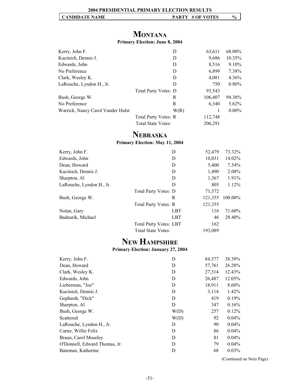# **MONTANA**

#### **Primary Election: June 8, 2004**

| Kerry, John F.                    |                           | D    | 63,611  | 68.00%   |
|-----------------------------------|---------------------------|------|---------|----------|
| Kucinich, Dennis J.               |                           | Ð    | 9,686   | 10.35%   |
| Edwards, John                     |                           | Ð    | 8,516   | 9.10%    |
| No Preference                     |                           | D    | 6,899   | 7.38%    |
| Clark, Wesley K.                  |                           | D    | 4,081   | $4.36\%$ |
| LaRouche, Lyndon H., Jr.          |                           | D    | 750     | $0.80\%$ |
|                                   | Total Party Votes: D      |      | 93,543  |          |
| Bush, George W.                   |                           | R    | 106,407 | 94.38%   |
| No Preference                     |                           | R    | 6,340   | $5.62\%$ |
| Warrick, Nancy Carol Vander Hulst |                           | W(R) |         | $0.00\%$ |
|                                   | Total Party Votes: R      |      | 112,748 |          |
|                                   | <b>Total State Votes:</b> |      | 206,291 |          |

# **NEBRASKA**

**Primary Election: May 11, 2004**

| Kerry, John F.           | D                             | 52,479  | 73.32%   |
|--------------------------|-------------------------------|---------|----------|
| Edwards, John            | D                             | 10,031  | 14.02%   |
| Dean, Howard             | D                             | 5,400   | 7.54%    |
| Kucinich, Dennis J.      | D                             | 1,490   | 2.08%    |
| Sharpton, Al             | D                             | 1,367   | 1.91%    |
| LaRouche, Lyndon H., Jr. | D                             | 805     | $1.12\%$ |
|                          | <b>Total Party Votes: D</b>   | 71,572  |          |
| Bush, George W.          | R                             | 121,355 | 100.00%  |
|                          | Total Party Votes: R          | 121,355 |          |
| Nolan, Gary              | LBT                           | 116     | 71.60%   |
| Badnarik, Michael        | LBT                           | 46      | 28.40%   |
|                          | <b>Total Party Votes: LBT</b> | 162     |          |
|                          | <b>Total State Votes:</b>     | 193,089 |          |

# **NEW HAMPSHIRE**

**Primary Election: January 27, 2004**

| Kerry, John F.                | D    | 84,377 | 38.39%   |
|-------------------------------|------|--------|----------|
| Dean, Howard                  | D    | 57,761 | 26.28%   |
| Clark, Wesley K.              | D    | 27,314 | 12.43%   |
| Edwards, John                 | D    | 26,487 | 12.05%   |
| Lieberman, "Joe"              | D    | 18,911 | 8.60%    |
| Kucinich, Dennis J.           | D    | 3,114  | 1.42%    |
| Gephardt, "Dick"              | D    | 419    | 0.19%    |
| Sharpton, Al                  | D    | 347    | 0.16%    |
| Bush, George W.               | W(D) | 257    | $0.12\%$ |
| Scattered                     | W(D) | 92     | $0.04\%$ |
| LaRouche, Lyndon H., Jr.      | D    | 90     | $0.04\%$ |
| Carter, Willie Felix          | D    | 86     | $0.04\%$ |
| Braun, Carol Moseley          | D    | 81     | $0.04\%$ |
| O'Donnell, Edward Thomas, Jr. | D    | 79     | $0.04\%$ |
| Bateman, Katherine            | D    | 68     | 0.03%    |

(Continued on Next Page)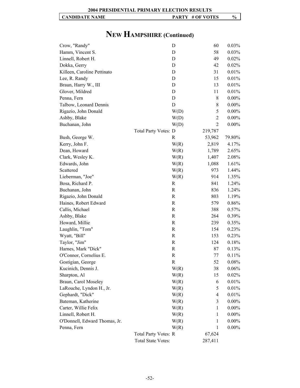| <b>2004 PRESIDENTIAL PRIMARY ELECTION RESULTS</b> |  |
|---------------------------------------------------|--|
|                                                   |  |

#### Crow, "Randy" D 60 0.03% Hamm, Vincent S. D 58 0.03% Linnell, Robert H. D 49 0.02% Dokka, Gerry D 42 0.02% Killeen, Caroline Pettinato D 31 0.01% Lee, R. Randy D 15 0.01% Braun, Harry W., III D 13 0.01% Glover, Mildred D 11 0.01% Penna, Fern D 8 0.00% Talbow, Leonard Dennis D 8 0.00% Rigazio, John Donald W(D) 5 0.00% Ashby, Blake W(D) 2 0.00% Buchanan, John W(D) 2 0.00% Total Party Votes: D 219,787 Bush, George W. R 53,962 79.80% Kerry, John F. 2,819 4.17% Dean, Howard W(R) 1,789 2.65% Clark, Wesley K.  $W(R)$  1,407 2.08% Edwards, John W(R) 1,088 1.61% Scattered W(R) 973 1.44% Lieberman, "Joe" W(R) 914 1.35% Bosa, Richard P.  $\qquad \qquad \text{R} \qquad \qquad 841 \qquad 1.24\%$ Buchanan, John R 836 1.24% Rigazio, John Donald R 803 1.19% Haines, Robert Edward **R** 579 0.86% Callis, Michael **R** 388 0.57% Ashby, Blake and R 264 0.39% Howard, Millie R 239 0.35% Laughlin, "Tom" R 154 0.23% Wyatt, "Bill" R 153 0.23% Taylor, "Jim" R 124 0.18% Harnes, Mark "Dick" R 87 0.13% O'Connor, Cornelius E. R 77 0.11% Gostigian, George R 52 0.08% Kucinich, Dennis J. W(R) 38 0.06% Sharpton, Al  $W(R)$  15 0.02% Braun, Carol Moseley W(R) 6 0.01% LaRouche, Lyndon H., Jr.  $W(R)$  5 0.01% Gephardt, "Dick" W(R) 4 0.01% Bateman, Katherine W(R) 3 0.00% Carter, Willie Felix W(R) 1 0.00% Linnell, Robert H.  $W(R)$  1 0.00% O'Donnell, Edward Thomas, Jr. W(R) 1 0.00% Penna, Fern W(R) 1 0.00% Total Party Votes: R 67,624 Total State Votes: 287,411

# **NEW HAMPSHIRE (Continued)**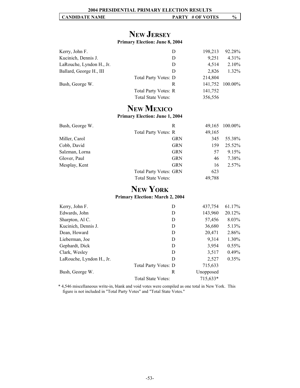# **NEW JERSEY**

#### **Primary Election: June 8, 2004**

| Kerry, John F.           | D                           | 198,213 | 92.28%          |
|--------------------------|-----------------------------|---------|-----------------|
| Kucinich, Dennis J.      | D                           | 9.251   | 4.31%           |
| LaRouche, Lyndon H., Jr. | D                           | 4.514   | $2.10\%$        |
| Ballard, George H., III  | D                           | 2.826   | $1.32\%$        |
|                          | <b>Total Party Votes: D</b> | 214,804 |                 |
| Bush, George W.          | R                           |         | 141,752 100.00% |
|                          | Total Party Votes: R        | 141,752 |                 |
|                          | <b>Total State Votes:</b>   | 356,556 |                 |

# **NEW MEXICO**

#### **Primary Election: June 1, 2004**

| Bush, George W. | R                             |        | 49,165 100.00% |
|-----------------|-------------------------------|--------|----------------|
|                 | Total Party Votes: R          | 49,165 |                |
| Miller, Carol   | <b>GRN</b>                    | 345    | 55.38%         |
| Cobb, David     | <b>GRN</b>                    | 159    | 25.52%         |
| Salzman, Lorna  | <b>GRN</b>                    | 57     | 9.15%          |
| Glover, Paul    | <b>GRN</b>                    | 46     | 7.38%          |
| Mesplay, Kent   | <b>GRN</b>                    | 16     | $2.57\%$       |
|                 | <b>Total Party Votes: GRN</b> | 623    |                |
|                 | Total State Votes:            | 49,788 |                |

# **NEW YORK**

**Primary Election: March 2, 2004**

| Kerry, John F.           | D                           | 437,754   | 61.17%   |
|--------------------------|-----------------------------|-----------|----------|
| Edwards, John            | D                           | 143,960   | 20.12%   |
| Sharpton, Al C.          | D                           | 57,456    | 8.03%    |
| Kucinich, Dennis J.      | D                           | 36,680    | 5.13%    |
| Dean, Howard             | D                           | 20,471    | 2.86%    |
| Lieberman, Joe           | D                           | 9,314     | 1.30%    |
| Gephardt, Dick           | D                           | 3,954     | $0.55\%$ |
| Clark, Wesley            | D                           | 3,517     | $0.49\%$ |
| LaRouche, Lyndon H., Jr. | D                           | 2,527     | 0.35%    |
|                          | <b>Total Party Votes: D</b> | 715,633   |          |
| Bush, George W.          | R                           | Unopposed |          |
|                          | Total State Votes:          | 715,633*  |          |
|                          |                             |           |          |

\* 4,546 miscellaneous write-in, blank and void votes were compiled as one total in New York. This figure is not included in "Total Party Votes" and "Total State Votes."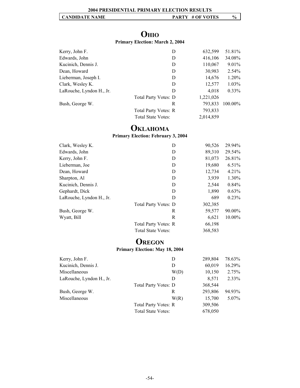# **OHIO**

#### **Primary Election: March 2, 2004**

| D                    | 632,599   | 51.81%   |
|----------------------|-----------|----------|
| D                    | 416,106   | 34.08%   |
| D                    | 110,067   | $9.01\%$ |
| D                    | 30,983    | $2.54\%$ |
| D                    | 14,676    | 1.20%    |
| D                    | 12,577    | $1.03\%$ |
| D                    | 4,018     | $0.33\%$ |
| Total Party Votes: D | 1,221,026 |          |
| R                    | 793,833   | 100.00%  |
| Total Party Votes: R | 793,833   |          |
| Total State Votes:   | 2,014,859 |          |
|                      |           |          |

# **OKLAHOMA**

# **Primary Election: February 3, 2004**

| Clark, Wesley K.         | D                         | 90,526  | 29.94% |
|--------------------------|---------------------------|---------|--------|
| Edwards, John            | D                         | 89,310  | 29.54% |
| Kerry, John F.           | D                         | 81,073  | 26.81% |
| Lieberman, Joe           | D                         | 19,680  | 6.51%  |
| Dean, Howard             | D                         | 12,734  | 4.21%  |
| Sharpton, Al             | D                         | 3,939   | 1.30%  |
| Kucinich, Dennis J.      | D                         | 2,544   | 0.84%  |
| Gephardt, Dick           | D                         | 1,890   | 0.63%  |
| LaRouche, Lyndon H., Jr. | D                         | 689     | 0.23%  |
|                          | Total Party Votes: D      | 302,385 |        |
| Bush, George W.          | R                         | 59,577  | 90.00% |
| Wyatt, Bill              | R                         | 6,621   | 10.00% |
|                          | Total Party Votes: R      | 66,198  |        |
|                          | <b>Total State Votes:</b> | 368,583 |        |

# **OREGON**

#### **Primary Election: May 18, 2004**

| D                           | 289,804 | 78.63% |
|-----------------------------|---------|--------|
| D                           | 60,019  | 16.29% |
| W(D)                        | 10,150  | 2.75%  |
| D                           | 8,571   | 2.33%  |
| <b>Total Party Votes: D</b> | 368,544 |        |
| R                           | 293,806 | 94.93% |
| W(R)                        | 15,700  | 5.07%  |
| <b>Total Party Votes: R</b> | 309,506 |        |
| <b>Total State Votes:</b>   | 678,050 |        |
|                             |         |        |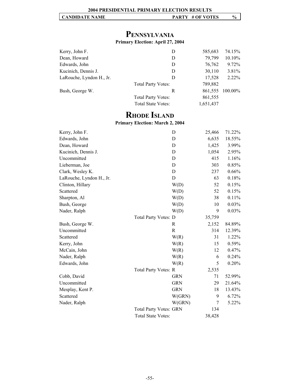# **PENNSYLVANIA**

#### **Primary Election: April 27, 2004**

| Kerry, John F.           | D                         | 585,683   | 74.15%  |
|--------------------------|---------------------------|-----------|---------|
| Dean, Howard             | D                         | 79,799    | 10.10%  |
| Edwards, John            | D                         | 76,762    | 9.72%   |
| Kucinich, Dennis J.      | D                         | 30,110    | 3.81%   |
| LaRouche, Lyndon H., Jr. | D                         | 17,528    | 2.22%   |
|                          | <b>Total Party Votes:</b> | 789,882   |         |
| Bush, George W.          | R                         | 861,555   | 100.00% |
|                          | <b>Total Party Votes:</b> | 861,555   |         |
|                          | <b>Total State Votes:</b> | 1,651,437 |         |

# **RHODE ISLAND**

#### **Primary Election: March 2, 2004**

| Kerry, John F.           |                               | D          | 25,466 | 71.22% |
|--------------------------|-------------------------------|------------|--------|--------|
| Edwards, John            |                               | D          | 6,635  | 18.55% |
| Dean, Howard             |                               | D          | 1,425  | 3.99%  |
| Kucinich, Dennis J.      |                               | D          | 1,054  | 2.95%  |
| Uncommitted              |                               | D          | 415    | 1.16%  |
| Lieberman, Joe           |                               | D          | 303    | 0.85%  |
| Clark, Wesley K.         |                               | D          | 237    | 0.66%  |
| LaRouche, Lyndon H., Jr. |                               | D          | 63     | 0.18%  |
| Clinton, Hillary         |                               | W(D)       | 52     | 0.15%  |
| Scattered                |                               | W(D)       | 52     | 0.15%  |
| Sharpton, Al             |                               | W(D)       | 38     | 0.11%  |
| Bush, George             |                               | W(D)       | 10     | 0.03%  |
| Nader, Ralph             |                               | W(D)       | 9      | 0.03%  |
|                          | Total Party Votes: D          |            | 35,759 |        |
| Bush, George W.          |                               | R          | 2,152  | 84.89% |
| Uncommitted              |                               | R          | 314    | 12.39% |
| Scattered                |                               | W(R)       | 31     | 1.22%  |
| Kerry, John              |                               | W(R)       | 15     | 0.59%  |
| McCain, John             |                               | W(R)       | 12     | 0.47%  |
| Nader, Ralph             |                               | W(R)       | 6      | 0.24%  |
| Edwards, John            |                               | W(R)       | 5      | 0.20%  |
|                          | Total Party Votes: R          |            | 2,535  |        |
| Cobb, David              |                               | <b>GRN</b> | 71     | 52.99% |
| Uncommitted              |                               | <b>GRN</b> | 29     | 21.64% |
| Mesplay, Kent P.         |                               | <b>GRN</b> | 18     | 13.43% |
| Scattered                |                               | W(GRN)     | 9      | 6.72%  |
| Nader, Ralph             |                               | W(GRN)     | 7      | 5.22%  |
|                          | <b>Total Party Votes: GRN</b> |            | 134    |        |
|                          | <b>Total State Votes:</b>     |            | 38,428 |        |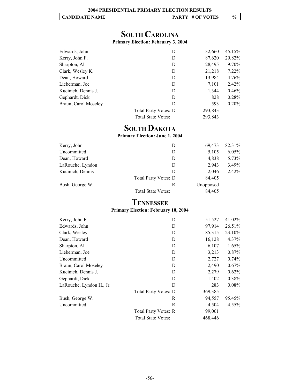|  | <b>CANDIDATE NAME</b> | # OF VOTES<br><b>PARTY</b> | $\frac{1}{2}$ |
|--|-----------------------|----------------------------|---------------|
|--|-----------------------|----------------------------|---------------|

# **SOUTH CAROLINA**

**Primary Election: February 3, 2004**

| Edwards, John        | D                         | 132,660 | 45.15%   |
|----------------------|---------------------------|---------|----------|
| Kerry, John F.       | D                         | 87,620  | 29.82%   |
| Sharpton, Al         | D                         | 28,495  | $9.70\%$ |
| Clark, Wesley K.     | D                         | 21,218  | $7.22\%$ |
| Dean, Howard         | D                         | 13,984  | 4.76%    |
| Lieberman, Joe       | D                         | 7,101   | $2.42\%$ |
| Kucinich, Dennis J.  | D                         | 1,344   | $0.46\%$ |
| Gephardt, Dick       | D                         | 828     | 0.28%    |
| Braun, Carol Moseley | D                         | 593     | $0.20\%$ |
|                      | Total Party Votes: D      | 293,843 |          |
|                      | <b>Total State Votes:</b> | 293,843 |          |

# **SOUTH DAKOTA**

**Primary Election: June 1, 2004**

| Kerry, John      | D                    | 69,473    | 82.31%   |
|------------------|----------------------|-----------|----------|
| Uncommitted      | D                    | 5,105     | $6.05\%$ |
| Dean, Howard     | D                    | 4,838     | 5.73%    |
| LaRouche, Lyndon | D                    | 2.943     | 3.49%    |
| Kucinich, Dennis | D                    | 2,046     | $2.42\%$ |
|                  | Total Party Votes: D | 84,405    |          |
| Bush, George W.  | R                    | Unopposed |          |
|                  | Total State Votes:   | 84.405    |          |

# **TENNESSEE**

#### **Primary Election: February 10, 2004**

| Kerry, John F.           | D                           | 151,527 | 41.02%   |
|--------------------------|-----------------------------|---------|----------|
| Edwards, John            | D                           | 97,914  | 26.51%   |
| Clark, Wesley            | D                           | 85,315  | 23.10%   |
| Dean, Howard             | D                           | 16,128  | $4.37\%$ |
| Sharpton, Al             | D                           | 6,107   | 1.65%    |
| Lieberman, Joe           | D                           | 3,213   | $0.87\%$ |
| Uncommitted              | D                           | 2,727   | $0.74\%$ |
| Braun, Carol Moseley     | D                           | 2,490   | 0.67%    |
| Kucinich, Dennis J.      | D                           | 2,279   | $0.62\%$ |
| Gephardt, Dick           | D                           | 1,402   | 0.38%    |
| LaRouche, Lyndon H., Jr. | D                           | 283     | $0.08\%$ |
|                          | <b>Total Party Votes: D</b> | 369,385 |          |
| Bush, George W.          | R                           | 94,557  | 95.45%   |
| Uncommitted              | R                           | 4,504   | $4.55\%$ |
|                          | Total Party Votes: R        | 99,061  |          |
|                          | <b>Total State Votes:</b>   | 468,446 |          |
|                          |                             |         |          |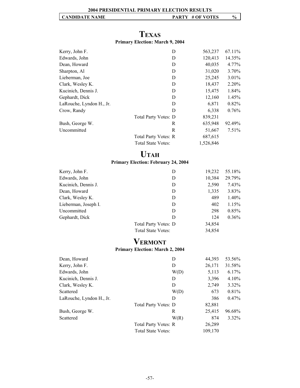#### **2004 PRESIDENTIAL PRIMARY ELECTION RESULTS**

#### **CANDIDATE NAME PARTY # OF VOTES**  $\%$

# **TEXAS Primary Election: March 9, 2004**

| Kerry, John F.           | D                    | 563,237   | 67.11\%  |
|--------------------------|----------------------|-----------|----------|
| Edwards, John            | D                    | 120,413   | 14.35%   |
| Dean, Howard             | D                    | 40,035    | $4.77\%$ |
| Sharpton, Al             | D                    | 31,020    | $3.70\%$ |
| Lieberman, Joe           | D                    | 25,245    | $3.01\%$ |
| Clark, Wesley K.         | D                    | 18,437    | 2.20%    |
| Kucinich, Dennis J.      | D                    | 15,475    | 1.84%    |
| Gephardt, Dick           | D                    | 12,160    | 1.45%    |
| LaRouche, Lyndon H., Jr. | D                    | 6,871     | $0.82\%$ |
| Crow, Randy              | D                    | 6,338     | $0.76\%$ |
|                          | Total Party Votes: D | 839,231   |          |
| Bush, George W.          | R                    | 635,948   | 92.49%   |
| Uncommitted              | R                    | 51,667    | $7.51\%$ |
|                          | Total Party Votes: R | 687,615   |          |
|                          | Total State Votes:   | 1,526,846 |          |

# **UTAH**

#### **Primary Election: February 24, 2004**

| Kerry, John F.       | D                    | 19,232 | 55.18%   |
|----------------------|----------------------|--------|----------|
| Edwards, John        | D                    | 10,384 | 29.79%   |
| Kucinich, Dennis J.  | D                    | 2,590  | 7.43%    |
| Dean, Howard         | D                    | 1,335  | 3.83%    |
| Clark, Wesley K.     | D                    | 489    | 1.40%    |
| Lieberman, Joseph I. | D                    | 402    | 1.15%    |
| Uncommitted          | D                    | 298    | 0.85%    |
| Gephardt, Dick       | D                    | 124    | $0.36\%$ |
|                      | Total Party Votes: D | 34,854 |          |
|                      | Total State Votes:   | 34,854 |          |

# **VERMONT**

#### **Primary Election: March 2, 2004**

| Dean, Howard             | D                         | 44,393  | 53.56%   |
|--------------------------|---------------------------|---------|----------|
| Kerry, John F.           | D                         | 26,171  | 31.58%   |
| Edwards, John            | W(D)                      | 5,113   | 6.17%    |
| Kucinich, Dennis J.      | D                         | 3,396   | $4.10\%$ |
| Clark, Wesley K.         | D                         | 2,749   | $3.32\%$ |
| Scattered                | W(D)                      | 673     | 0.81%    |
| LaRouche, Lyndon H., Jr. | D                         | 386     | $0.47\%$ |
|                          | Total Party Votes: D      | 82,881  |          |
| Bush, George W.          | R                         | 25,415  | 96.68%   |
| Scattered                | W(R)                      | 874     | $3.32\%$ |
|                          | Total Party Votes: R      | 26,289  |          |
|                          | <b>Total State Votes:</b> | 109,170 |          |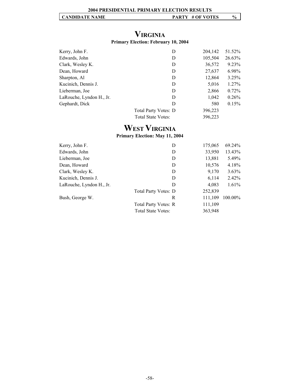# **VIRGINIA**

#### **Primary Election: February 10, 2004**

| Kerry, John F.           | D                         | 204,142 | 51.52%   |
|--------------------------|---------------------------|---------|----------|
| Edwards, John            | D                         | 105,504 | 26.63%   |
| Clark, Wesley K.         | D                         | 36,572  | 9.23%    |
| Dean, Howard             | D                         | 27,637  | 6.98%    |
| Sharpton, Al             | D                         | 12,864  | $3.25\%$ |
| Kucinich, Dennis J.      | D                         | 5,016   | $1.27\%$ |
| Lieberman, Joe           | D                         | 2,866   | $0.72\%$ |
| LaRouche, Lyndon H., Jr. | D                         | 1,042   | 0.26%    |
| Gephardt, Dick           | D                         | 580     | 0.15%    |
|                          | Total Party Votes: D      | 396,223 |          |
|                          | <b>Total State Votes:</b> | 396,223 |          |

# **WEST VIRGINIA**

#### **Primary Election: May 11, 2004**

| Kerry, John F.           | D                         | 175,065 | 69.24%   |
|--------------------------|---------------------------|---------|----------|
| Edwards, John            | D                         | 33,950  | 13.43%   |
| Lieberman, Joe           | D                         | 13,881  | 5.49%    |
| Dean, Howard             | D                         | 10,576  | 4.18%    |
| Clark, Wesley K.         | D                         | 9,170   | $3.63\%$ |
| Kucinich, Dennis J.      | D                         | 6,114   | 2.42%    |
| LaRouche, Lyndon H., Jr. | D                         | 4,083   | 1.61%    |
|                          | Total Party Votes: D      | 252,839 |          |
| Bush, George W.          | R                         | 111,109 | 100.00%  |
|                          | Total Party Votes: R      | 111,109 |          |
|                          | <b>Total State Votes:</b> | 363,948 |          |